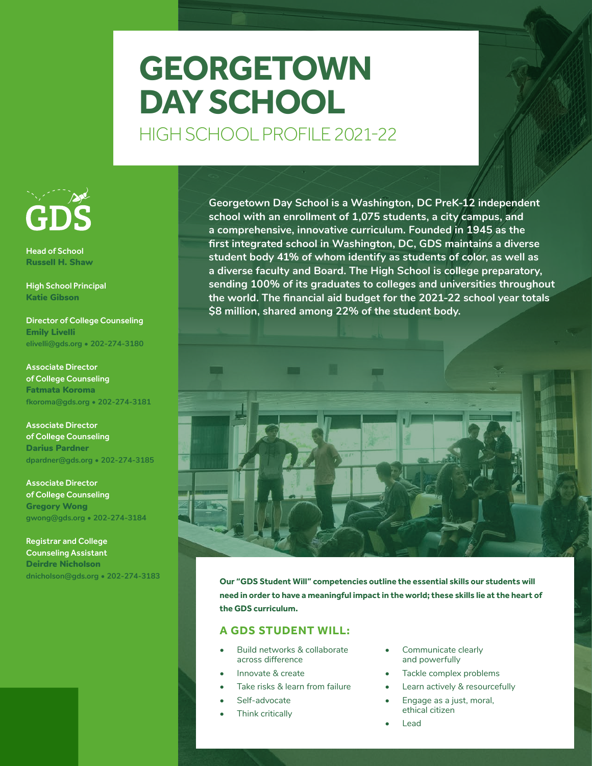# **GEORGETOWN DAY SCHOOL**

HIGH SCHOOL PROFILE 2021-22



Head of School Russell H. Shaw

High School Principal Katie Gibson

Director of College Counseling Emily Livelli **elivelli@gds.org • 202-274-3180**

Associate Director of College Counseling Fatmata Koroma **fkoroma@gds.org • 202-274-3181**

Associate Director of College Counseling Darius Pardner **dpardner@gds.org • 202-274-3185** 

Associate Director of College Counseling Gregory Wong **gwong@gds.org • 202-274-3184**

Registrar and College Counseling Assistant Deirdre Nicholson **dnicholson@gds.org • 202-274-3183**

**Georgetown Day School is a Washington, DC PreK-12 independent school with an enrollment of 1,075 students, a city campus, and a comprehensive, innovative curriculum. Founded in 1945 as the first integrated school in Washington, DC, GDS maintains a diverse student body 41% of whom identify as students of color, as well as a diverse faculty and Board. The High School is college preparatory, sending 100% of its graduates to colleges and universities throughout the world. The financial aid budget for the 2021-22 school year totals \$8 million, shared among 22% of the student body.**



**Our "GDS Student Will" competencies outline the essential skills our students will need in order to have a meaningful impact in the world; these skills lie at the heart of the GDS curriculum.** 

# **A GDS STUDENT WILL:**

- Build networks & collaborate across difference
- Innovate & create
- Take risks & learn from failure
- Self-advocate
- Think critically
- Communicate clearly and powerfully
- Tackle complex problems
- Learn actively & resourcefully
- Engage as a just, moral, ethical citizen
- Lead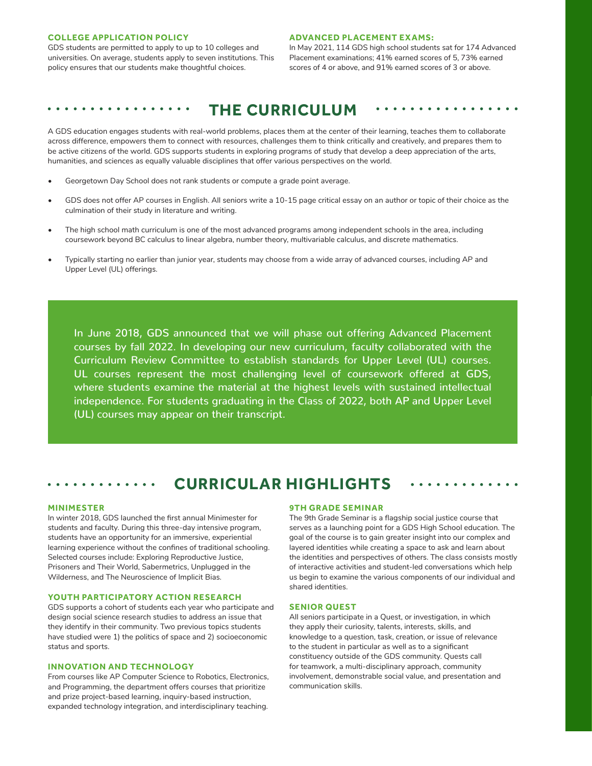### **COLLEGE APPLICATION POLICY**

GDS students are permitted to apply to up to 10 colleges and universities. On average, students apply to seven institutions. This policy ensures that our students make thoughtful choices.

#### **ADVANCED PLACEMENT EXAMS:**

In May 2021, 114 GDS high school students sat for 174 Advanced Placement examinations; 41% earned scores of 5, 73% earned scores of 4 or above, and 91% earned scores of 3 or above.

# **THE CURRICULUM**

A GDS education engages students with real-world problems, places them at the center of their learning, teaches them to collaborate across difference, empowers them to connect with resources, challenges them to think critically and creatively, and prepares them to be active citizens of the world. GDS supports students in exploring programs of study that develop a deep appreciation of the arts, humanities, and sciences as equally valuable disciplines that offer various perspectives on the world.

- Georgetown Day School does not rank students or compute a grade point average.
- GDS does not offer AP courses in English. All seniors write a 10-15 page critical essay on an author or topic of their choice as the culmination of their study in literature and writing.
- The high school math curriculum is one of the most advanced programs among independent schools in the area, including coursework beyond BC calculus to linear algebra, number theory, multivariable calculus, and discrete mathematics.
- Typically starting no earlier than junior year, students may choose from a wide array of advanced courses, including AP and Upper Level (UL) offerings.

In June 2018, GDS announced that we will phase out offering Advanced Placement courses by fall 2022. In developing our new curriculum, faculty collaborated with the Curriculum Review Committee to establish standards for Upper Level (UL) courses. UL courses represent the most challenging level of coursework offered at GDS, where students examine the material at the highest levels with sustained intellectual independence. For students graduating in the Class of 2022, both AP and Upper Level (UL) courses may appear on their transcript.

# **CURRICULAR HIGHLIGHTS**

#### **MINIMESTER**

In winter 2018, GDS launched the first annual Minimester for students and faculty. During this three-day intensive program, students have an opportunity for an immersive, experiential learning experience without the confines of traditional schooling. Selected courses include: Exploring Reproductive Justice, Prisoners and Their World, Sabermetrics, Unplugged in the Wilderness, and The Neuroscience of Implicit Bias.

#### **YOUTH PARTICIPATORY ACTION RESEARCH**

 $\bullet\hspace{0.1cm} \bullet\hspace{0.1cm}\bullet\hspace{0.1cm}\bullet\hspace{0.1cm}\bullet\hspace{0.1cm}$ 

GDS supports a cohort of students each year who participate and design social science research studies to address an issue that they identify in their community. Two previous topics students have studied were 1) the politics of space and 2) socioeconomic status and sports.

### **INNOVATION AND TECHNOLOGY**

From courses like AP Computer Science to Robotics, Electronics, and Programming, the department offers courses that prioritize and prize project-based learning, inquiry-based instruction, expanded technology integration, and interdisciplinary teaching.

#### **9TH GRADE SEMINAR**

The 9th Grade Seminar is a flagship social justice course that serves as a launching point for a GDS High School education. The goal of the course is to gain greater insight into our complex and layered identities while creating a space to ask and learn about the identities and perspectives of others. The class consists mostly of interactive activities and student-led conversations which help us begin to examine the various components of our individual and shared identities.

#### **SENIOR QUEST**

All seniors participate in a Quest, or investigation, in which they apply their curiosity, talents, interests, skills, and knowledge to a question, task, creation, or issue of relevance to the student in particular as well as to a significant constituency outside of the GDS community. Quests call for teamwork, a multi-disciplinary approach, community involvement, demonstrable social value, and presentation and communication skills.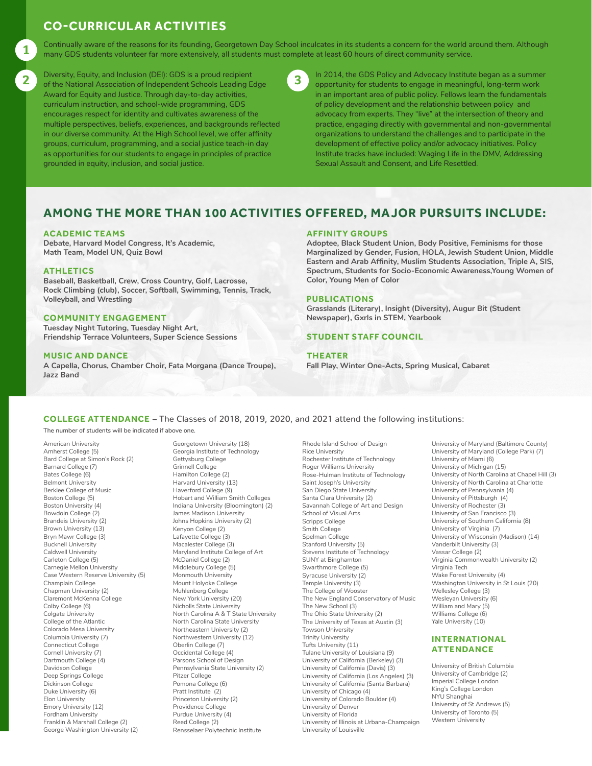# **CO-CURRICULAR ACTIVITIES**

Continually aware of the reasons for its founding, Georgetown Day School inculcates in its students a concern for the world around them. Although many GDS students volunteer far more extensively, all students must complete at least 60 hours of direct community service.

Diversity, Equity, and Inclusion (DEI): GDS is a proud recipient Diversity, Equity, and Inclusion (DEI): GDS is a proud recipient (and a summer of the GDS Policy and Advocacy Institute began as a summer of the National Association of Independent Schools Leading Edge (b) apportunity for Award for Equity and Justice. Through day-to-day activities, curriculum instruction, and school-wide programming, GDS encourages respect for identity and cultivates awareness of the multiple perspectives, beliefs, experiences, and backgrounds reflected in our diverse community. At the High School level, we offer affinity groups, curriculum, programming, and a social justice teach-in day as opportunities for our students to engage in principles of practice grounded in equity, inclusion, and social justice.



opportunity for students to engage in meaningful, long-term work in an important area of public policy. Fellows learn the fundamentals of policy development and the relationship between policy and advocacy from experts. They "live" at the intersection of theory and practice, engaging directly with governmental and non-governmental organizations to understand the challenges and to participate in the development of effective policy and/or advocacy initiatives. Policy Institute tracks have included: Waging Life in the DMV, Addressing Sexual Assault and Consent, and Life Resettled.

# **AMONG THE MORE THAN 100 ACTIVITIES OFFERED, MAJOR PURSUITS INCLUDE:**

## **ACADEMIC TEAMS**

**Debate, Harvard Model Congress, It's Academic, Math Team, Model UN, Quiz Bowl**

## **ATHLETICS**

1

**Baseball, Basketball, Crew, Cross Country, Golf, Lacrosse, Rock Climbing (club), Soccer, Softball, Swimming, Tennis, Track, Volleyball, and Wrestling**

### **COMMUNITY ENGAGEMENT**

**Tuesday Night Tutoring, Tuesday Night Art, Friendship Terrace Volunteers, Super Science Sessions**

## **MUSIC AND DANCE**

**A Capella, Chorus, Chamber Choir, Fata Morgana (Dance Troupe), Jazz Band**

#### **AFFINITY GROUPS**

**Adoptee, Black Student Union, Body Positive, Feminisms for those Marginalized by Gender, Fusion, HOLA, Jewish Student Union, Middle Eastern and Arab Affinity, Muslim Students Association, Triple A, SIS, Spectrum, Students for Socio-Economic Awareness,Young Women of Color, Young Men of Color**

## **PUBLICATIONS**

**Grasslands (Literary), Insight (Diversity), Augur Bit (Student Newspaper), Gxrls in STEM, Yearbook**

## **STUDENT STAFF COUNCIL**

#### **THEATER**

**Fall Play, Winter One-Acts, Spring Musical, Cabaret**

# **COLLEGE ATTENDANCE** – The Classes of 2018, 2019, 2020, and 2021 attend the following institutions:

**The number of students will be indicated if above one.**

American University Amherst College (5) Bard College at Simon's Rock (2) Barnard College (7) Bates College (6) Belmont University Berklee College of Music Boston College (5) Boston University (4) Bowdoin College (2) Brandeis University (2) Brown University (13) Bryn Mawr College (3) Bucknell University Caldwell University Carleton College (5) Carnegie Mellon University Case Western Reserve University (5) Champlain College Chapman University (2) Claremont McKenna College Colby College (6) Colgate University College of the Atlantic Colorado Mesa University Columbia University (7) Connecticut College Cornell University (7) Dartmouth College (4) Davidson College Deep Springs College Dickinson College Duke University (6) Elon University Emory University (12) Fordham University Franklin & Marshall College (2) George Washington University (2)

Georgetown University (18) Georgia Institute of Technology Gettysburg College Grinnell College Hamilton College (2) Harvard University (13) Haverford College (9) Hobart and William Smith Colleges Indiana University (Bloomington) (2) James Madison University Johns Hopkins University (2) Kenyon College (2) Lafayette College (3) Macalester College (3) Maryland Institute College of Art McDaniel College (2) Middlebury College (5) Monmouth University Mount Holyoke College Muhlenberg College New York University (20) Nicholls State University North Carolina A & T State University North Carolina State University Northeastern University (2) Northwestern University (12) Oberlin College (7) Occidental College (4) Parsons School of Design Pennsylvania State University (2) Pitzer College Pomona College (6) Pratt Institute (2) Princeton University (2) Providence College Purdue University (4) Reed College (2) Rensselaer Polytechnic Institute

Rhode Island School of Design Rice University Rochester Institute of Technology Roger Williams University Rose-Hulman Institute of Technology Saint Joseph's University San Diego State University Santa Clara University (2) Savannah College of Art and Design School of Visual Arts Scripps College Smith College Spelman College Stanford University (5) Stevens Institute of Technology SUNY at Binghamton Swarthmore College (5) Syracuse University (2) Temple University (3) The College of Wooster The New England Conservatory of Music The New School (3) The Ohio State University (2) The University of Texas at Austin (3) Towson University Trinity University Tufts University (11) Tulane University of Louisiana (9) University of California (Berkeley) (3) University of California (Davis) (3) University of California (Los Angeles) (3) University of California (Santa Barbara) University of Chicago (4) University of Colorado Boulder (4) University of Denver University of Florida University of Illinois at Urbana-Champaign University of Louisville

University of Maryland (Baltimore County) University of Maryland (College Park) (7) University of Miami (6) University of Michigan (15) University of North Carolina at Chapel Hill (3) University of North Carolina at Charlotte University of Pennsylvania (4) University of Pittsburgh (4) University of Rochester (3) University of San Francisco (3) University of Southern California (8) University of Virginia (7) University of Wisconsin (Madison) (14) Vanderbilt University (3) Vassar College (2) Virginia Commonwealth University (2) Virginia Tech Wake Forest University (4) Washington University in St Louis (20) Wellesley College (3) Wesleyan University (6) William and Mary (5) Williams College (6) Yale University (10)

# **INTERNATIONAL ATTENDANCE**

University of British Columbia University of Cambridge (2) Imperial College London King's College London NYU Shanghai University of St Andrews (5) University of Toronto (5) Western University